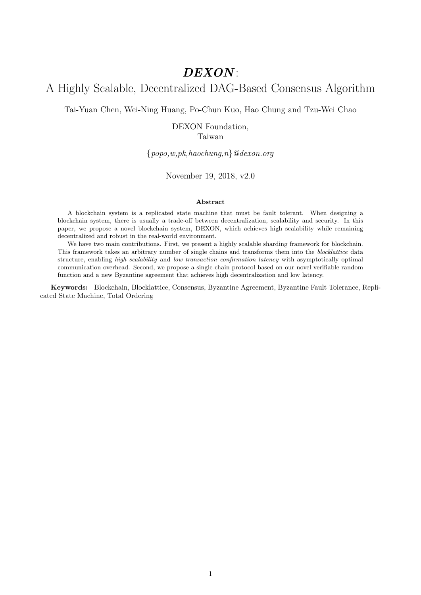# DEXON:

# A Highly Scalable, Decentralized DAG-Based Consensus Algorithm

Tai-Yuan Chen, Wei-Ning Huang, Po-Chun Kuo, Hao Chung and Tzu-Wei Chao

DEXON Foundation, Taiwan

 $\{popo,w,pk,haochung,n\}$ @dexon.org

November 19, 2018, v2.0

#### Abstract

A blockchain system is a replicated state machine that must be fault tolerant. When designing a blockchain system, there is usually a trade-off between decentralization, scalability and security. In this paper, we propose a novel blockchain system, DEXON, which achieves high scalability while remaining decentralized and robust in the real-world environment.

We have two main contributions. First, we present a highly scalable sharding framework for blockchain. This framework takes an arbitrary number of single chains and transforms them into the blocklattice data structure, enabling high scalability and low transaction confirmation latency with asymptotically optimal communication overhead. Second, we propose a single-chain protocol based on our novel verifiable random function and a new Byzantine agreement that achieves high decentralization and low latency.

Keywords: Blockchain, Blocklattice, Consensus, Byzantine Agreement, Byzantine Fault Tolerance, Replicated State Machine, Total Ordering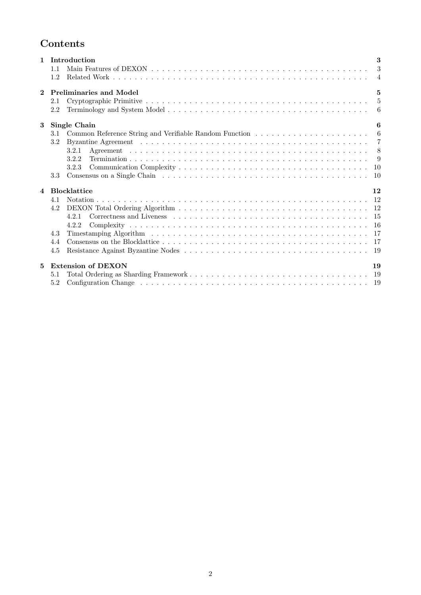# Contents

| $\mathbf{1}$   | Introduction                                      | 3              |  |  |  |
|----------------|---------------------------------------------------|----------------|--|--|--|
|                | 1.1                                               | 3              |  |  |  |
|                | 1.2                                               | $\overline{4}$ |  |  |  |
| $\mathbf 2$    | <b>Preliminaries and Model</b><br>$5\overline{a}$ |                |  |  |  |
|                | 2.1                                               | $\overline{5}$ |  |  |  |
|                | 2.2                                               | -6             |  |  |  |
| $\bf{3}$       | <b>Single Chain</b>                               | 6              |  |  |  |
|                | 3.1                                               | 6              |  |  |  |
|                | 3.2                                               | $\overline{7}$ |  |  |  |
|                | 3.2.1                                             | 8              |  |  |  |
|                | 3.2.2                                             | -9             |  |  |  |
|                | 3.2.3                                             | <sup>10</sup>  |  |  |  |
|                | 3.3                                               | 10             |  |  |  |
| $\overline{4}$ | <b>Blocklattice</b>                               | 12             |  |  |  |
|                | 4.1                                               | <sup>12</sup>  |  |  |  |
|                | 4.2                                               |                |  |  |  |
|                | 421                                               |                |  |  |  |
|                | 4.2.2                                             | -16            |  |  |  |
|                | 4.3                                               |                |  |  |  |
|                | 4.4                                               | -17            |  |  |  |
|                | 4.5                                               |                |  |  |  |
|                |                                                   |                |  |  |  |
| 5              | <b>Extension of DEXON</b>                         | 19             |  |  |  |
|                | 5.1                                               | -19            |  |  |  |
|                | 5.2                                               |                |  |  |  |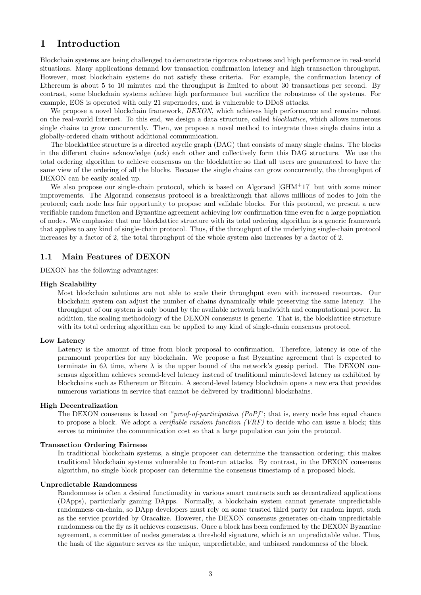## <span id="page-2-0"></span>1 Introduction

Blockchain systems are being challenged to demonstrate rigorous robustness and high performance in real-world situations. Many applications demand low transaction confirmation latency and high transaction throughput. However, most blockchain systems do not satisfy these criteria. For example, the confirmation latency of Ethereum is about 5 to 10 minutes and the throughput is limited to about 30 transactions per second. By contrast, some blockchain systems achieve high performance but sacrifice the robustness of the systems. For example, EOS is operated with only 21 supernodes, and is vulnerable to DDoS attacks.

We propose a novel blockchain framework, DEXON, which achieves high performance and remains robust on the real-world Internet. To this end, we design a data structure, called blocklattice, which allows numerous single chains to grow concurrently. Then, we propose a novel method to integrate these single chains into a globally-ordered chain without additional communication.

The blocklattice structure is a directed acyclic graph (DAG) that consists of many single chains. The blocks in the different chains acknowledge (ack) each other and collectively form this DAG structure. We use the total ordering algorithm to achieve consensus on the blocklattice so that all users are guaranteed to have the same view of the ordering of all the blocks. Because the single chains can grow concurrently, the throughput of DEXON can be easily scaled up.

We also propose our single-chain protocol, which is based on Algorand [\[GHM](#page-19-0)+17] but with some minor improvements. The Algorand consensus protocol is a breakthrough that allows millions of nodes to join the protocol; each node has fair opportunity to propose and validate blocks. For this protocol, we present a new verifiable random function and Byzantine agreement achieving low confirmation time even for a large population of nodes. We emphasize that our blocklattice structure with its total ordering algorithm is a generic framework that applies to any kind of single-chain protocol. Thus, if the throughput of the underlying single-chain protocol increases by a factor of 2, the total throughput of the whole system also increases by a factor of 2.

## <span id="page-2-1"></span>1.1 Main Features of DEXON

DEXON has the following advantages:

## High Scalability

Most blockchain solutions are not able to scale their throughput even with increased resources. Our blockchain system can adjust the number of chains dynamically while preserving the same latency. The throughput of our system is only bound by the available network bandwidth and computational power. In addition, the scaling methodology of the DEXON consensus is generic. That is, the blocklattice structure with its total ordering algorithm can be applied to any kind of single-chain consensus protocol.

#### Low Latency

Latency is the amount of time from block proposal to confirmation. Therefore, latency is one of the paramount properties for any blockchain. We propose a fast Byzantine agreement that is expected to terminate in  $6\lambda$  time, where  $\lambda$  is the upper bound of the network's gossip period. The DEXON consensus algorithm achieves second-level latency instead of traditional minute-level latency as exhibited by blockchains such as Ethereum or Bitcoin. A second-level latency blockchain opens a new era that provides numerous variations in service that cannot be delivered by traditional blockchains.

## High Decentralization

The DEXON consensus is based on "*proof-of-participation (PoP)*"; that is, every node has equal chance to propose a block. We adopt a *verifiable random function (VRF)* to decide who can issue a block; this serves to minimize the communication cost so that a large population can join the protocol.

#### Transaction Ordering Fairness

In traditional blockchain systems, a single proposer can determine the transaction ordering; this makes traditional blockchain systems vulnerable to front-run attacks. By contrast, in the DEXON consensus algorithm, no single block proposer can determine the consensus timestamp of a proposed block.

### Unpredictable Randomness

Randomness is often a desired functionality in various smart contracts such as decentralized applications (DApps), particularly gaming DApps. Normally, a blockchain system cannot generate unpredictable randomness on-chain, so DApp developers must rely on some trusted third party for random input, such as the service provided by Oracalize. However, the DEXON consensus generates on-chain unpredictable randomness on the fly as it achieves consensus. Once a block has been confirmed by the DEXON Byzantine agreement, a committee of nodes generates a threshold signature, which is an unpredictable value. Thus, the hash of the signature serves as the unique, unpredictable, and unbiased randomness of the block.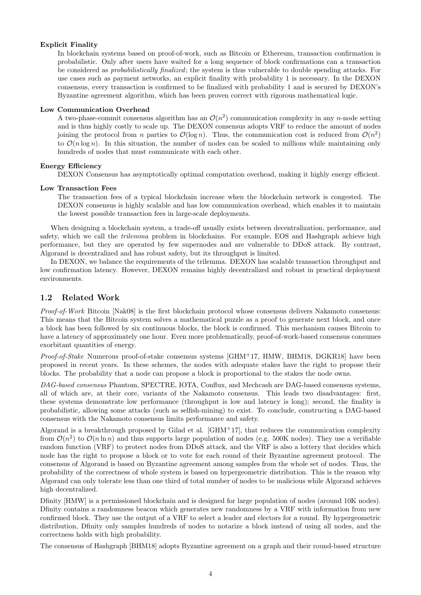## Explicit Finality

In blockchain systems based on proof-of-work, such as Bitcoin or Ethereum, transaction confirmation is probabilistic. Only after users have waited for a long sequence of block confirmations can a transaction be considered as probabilistically finalized; the system is thus vulnerable to double spending attacks. For use cases such as payment networks, an explicit finality with probability 1 is necessary. In the DEXON consensus, every transaction is confirmed to be finalized with probability 1 and is secured by DEXON's Byzantine agreement algorithm, which has been proven correct with rigorous mathematical logic.

### Low Communication Overhead

A two-phase-commit consensus algorithm has an  $\mathcal{O}(n^2)$  communication complexity in any n-node setting and is thus highly costly to scale up. The DEXON consensus adopts VRF to reduce the amount of nodes joining the protocol from n parties to  $\mathcal{O}(\log n)$ . Thus, the communication cost is reduced from  $\mathcal{O}(n^2)$ to  $\mathcal{O}(n \log n)$ . In this situation, the number of nodes can be scaled to millions while maintaining only hundreds of nodes that must communicate with each other.

## Energy Efficiency

DEXON Consensus has asymptotically optimal computation overhead, making it highly energy efficient.

## Low Transaction Fees

The transaction fees of a typical blockchain increase when the blockchain network is congested. The DEXON consensus is highly scalable and has low communication overhead, which enables it to maintain the lowest possible transaction fees in large-scale deployments.

When designing a blockchain system, a trade-off usually exists between decentralization, performance, and safety, which we call the *trilemma* problem in blockchains. For example, EOS and Hashgraph achieve high performance, but they are operated by few supernodes and are vulnerable to DDoS attack. By contrast, Algorand is decentralized and has robust safety, but its throughput is limited.

In DEXON, we balance the requirements of the trilemma. DEXON has scalable transaction throughput and low confirmation latency. However, DEXON remains highly decentralized and robust in practical deployment environments.

## <span id="page-3-0"></span>1.2 Related Work

Proof-of-Work Bitcoin [\[Nak08\]](#page-19-1) is the first blockchain protocol whose consensus delivers Nakamoto consensus: This means that the Bitcoin system solves a mathematical puzzle as a proof to generate next block, and once a block has been followed by six continuous blocks, the block is confirmed. This mechanism causes Bitcoin to have a latency of approximately one hour. Even more problematically, proof-of-work-based consensus consumes exorbitant quantities of energy.

Proof-of-Stake Numerous proof-of-stake consensus systems [\[GHM](#page-19-0)+17, [HMW,](#page-19-2) [BHM18,](#page-19-3) [DGKR18\]](#page-19-4) have been proposed in recent years. In these schemes, the nodes with adequate stakes have the right to propose their blocks. The probability that a node can propose a block is proportional to the stakes the node owns.

DAG-based consensus Phantom, SPECTRE, IOTA, Conflux, and Mechcash are DAG-based consensus systems, all of which are, at their core, variants of the Nakamoto consensus. This leads two disadvantages: first, these systems demonstrate low performance (throughput is low and latency is long); second, the finality is probabilistic, allowing some attacks (such as selfish-mining) to exist. To conclude, constructing a DAG-based consensus with the Nakamoto consensus limits performance and safety.

Algorand is a breakthrough proposed by Gilad et al.  $\left[\text{GHM}^+ \text{17}\right]$ , that reduces the communication complexity from  $\mathcal{O}(n^2)$  to  $\mathcal{O}(n \ln n)$  and thus supports large population of nodes (e.g. 500K nodes). They use a verifiable random function (VRF) to protect nodes from DDoS attack, and the VRF is also a lottery that decides which node has the right to propose a block or to vote for each round of their Byzantine agreement protocol. The consensus of Algorand is based on Byzantine agreement among samples from the whole set of nodes. Thus, the probability of the correctness of whole system is based on hypergeometric distribution. This is the reason why Algorand can only tolerate less than one third of total number of nodes to be malicious while Algorand achieves high decentralized.

Dfinity [\[HMW\]](#page-19-2) is a permissioned blockchain and is designed for large population of nodes (around 10K nodes). Dfinity contains a randomness beacon which generates new randomness by a VRF with information from new confirmed block. They use the output of a VRF to select a leader and electors for a round. By hypergeometric distribution, Dfinity only samples hundreds of nodes to notarize a block instead of using all nodes, and the correctness holds with high probability.

The consensus of Hashgraph [\[BHM18\]](#page-19-3) adopts Byzantine agreement on a graph and their round-based structure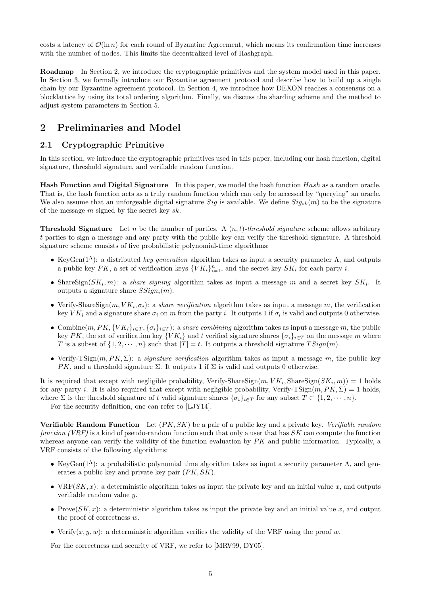costs a latency of  $\mathcal{O}(\ln n)$  for each round of Byzantine Agreement, which means its confirmation time increases with the number of nodes. This limits the decentralized level of Hashgraph.

Roadmap In Section [2,](#page-4-0) we introduce the cryptographic primitives and the system model used in this paper. In Section [3,](#page-5-1) we formally introduce our Byzantine agreement protocol and describe how to build up a single chain by our Byzantine agreement protocol. In Section [4,](#page-11-0) we introduce how DEXON reaches a consensus on a blocklattice by using its total ordering algorithm. Finally, we discuss the sharding scheme and the method to adjust system parameters in Section [5.](#page-18-1)

## <span id="page-4-0"></span>2 Preliminaries and Model

## <span id="page-4-1"></span>2.1 Cryptographic Primitive

In this section, we introduce the cryptographic primitives used in this paper, including our hash function, digital signature, threshold signature, and verifiable random function.

Hash Function and Digital Signature In this paper, we model the hash function Hash as a random oracle. That is, the hash function acts as a truly random function which can only be accessed by "querying" an oracle. We also assume that an unforgeable digital signature Sig is available. We define  $Sig_{sk}(m)$  to be the signature of the message  $m$  signed by the secret key  $sk$ .

**Threshold Signature** Let n be the number of parties. A  $(n, t)$ -threshold signature scheme allows arbitrary t parties to sign a message and any party with the public key can verify the threshold signature. A threshold signature scheme consists of five probabilistic polynomial-time algorithms:

- KeyGen( $1^{\Lambda}$ ): a distributed key generation algorithm takes as input a security parameter  $\Lambda$ , and outputs a public key  $PK$ , a set of verification keys  $\{VK_i\}_{i=1}^n$ , and the secret key  $SK_i$  for each party i.
- Share Sign( $SK_i, m$ ): a share signing algorithm takes as input a message m and a secret key  $SK_i$ . It outputs a signature share  $SSign_i(m)$ .
- Verify-ShareSign $(m, VK_i, \sigma_i)$ : a *share verification* algorithm takes as input a message m, the verification key  $VK_i$  and a signature share  $\sigma_i$  on m from the party i. It outputs 1 if  $\sigma_i$  is valid and outputs 0 otherwise.
- Combine $(m, PK, \{VK_i\}_{i \in T}, \{\sigma_i\}_{i \in T})$ : a share combining algorithm takes as input a message m, the public key PK, the set of verification key  $\{VK_i\}$  and t verified signature shares  $\{\sigma_i\}_{i\in\mathcal{I}}$  on the message m where T is a subset of  $\{1, 2, \dots, n\}$  such that  $|T| = t$ . It outputs a threshold signature  $TSign(m)$ .
- Verify-TSign $(m, PK, \Sigma)$ : a signature verification algorithm takes as input a message m, the public key PK, and a threshold signature  $\Sigma$ . It outputs 1 if  $\Sigma$  is valid and outputs 0 otherwise.

It is required that except with negligible probability, Verify-ShareSign $(m, VK_i, \text{ShareSign}(SK_i, m)) = 1$  holds for any party i. It is also required that except with negligible probability, Verify-TSign $(m, PK, \Sigma) = 1$  holds, where  $\Sigma$  is the threshold signature of t valid signature shares  $\{\sigma_i\}_{i\in\mathcal{I}}$  for any subset  $T \subset \{1, 2, \cdots, n\}$ .

For the security definition, one can refer to [\[LJY14\]](#page-19-5).

**Verifiable Random Function** Let  $(PK, SK)$  be a pair of a public key and a private key. Verifiable random function (VRF) is a kind of pseudo-random function such that only a user that has  $SK$  can compute the function whereas anyone can verify the validity of the function evaluation by PK and public information. Typically, a VRF consists of the following algorithms:

- KeyGen( $1^{\Lambda}$ ): a probabilistic polynomial time algorithm takes as input a security parameter  $\Lambda$ , and generates a public key and private key pair (PK, SK).
- VRF( $SK, x$ ): a deterministic algorithm takes as input the private key and an initial value x, and outputs verifiable random value y.
- Prove $(SK, x)$ : a deterministic algorithm takes as input the private key and an initial value x, and output the proof of correctness w.
- Verify $(x, y, w)$ : a deterministic algorithm verifies the validity of the VRF using the proof w.

For the correctness and security of VRF, we refer to [\[MRV99,](#page-19-6) [DY05\]](#page-19-7).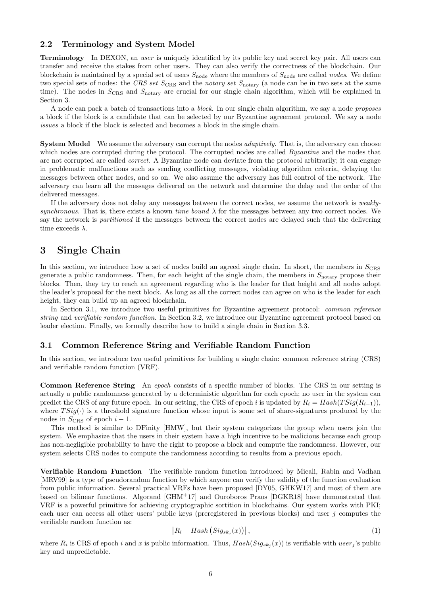## <span id="page-5-0"></span>2.2 Terminology and System Model

Terminology In DEXON, an user is uniquely identified by its public key and secret key pair. All users can transfer and receive the stakes from other users. They can also verify the correctness of the blockchain. Our blockchain is maintained by a special set of users  $S_{\text{node}}$  where the members of  $S_{\text{node}}$  are called nodes. We define two special sets of nodes: the CRS set  $S_{CRS}$  and the notary set  $S_{\text{notary}}$  (a node can be in two sets at the same time). The nodes in  $S_{CRS}$  and  $S_{notary}$  are crucial for our single chain algorithm, which will be explained in Section [3.](#page-5-1)

A node can pack a batch of transactions into a block. In our single chain algorithm, we say a node proposes a block if the block is a candidate that can be selected by our Byzantine agreement protocol. We say a node issues a block if the block is selected and becomes a block in the single chain.

**System Model** We assume the adversary can corrupt the nodes *adaptively*. That is, the adversary can choose which nodes are corrupted during the protocol. The corrupted nodes are called *Byzantine* and the nodes that are not corrupted are called correct. A Byzantine node can deviate from the protocol arbitrarily; it can engage in problematic malfunctions such as sending conflicting messages, violating algorithm criteria, delaying the messages between other nodes, and so on. We also assume the adversary has full control of the network. The adversary can learn all the messages delivered on the network and determine the delay and the order of the delivered messages.

If the adversary does not delay any messages between the correct nodes, we assume the network is weaklysynchronous. That is, there exists a known time bound  $\lambda$  for the messages between any two correct nodes. We say the network is partitioned if the messages between the correct nodes are delayed such that the delivering time exceeds  $\lambda$ .

## <span id="page-5-1"></span>3 Single Chain

In this section, we introduce how a set of nodes build an agreed single chain. In short, the members in  $S_{\text{CRS}}$ generate a public randomness. Then, for each height of the single chain, the members in  $S<sub>notary</sub>$  propose their blocks. Then, they try to reach an agreement regarding who is the leader for that height and all nodes adopt the leader's proposal for the next block. As long as all the correct nodes can agree on who is the leader for each height, they can build up an agreed blockchain.

In Section [3.1,](#page-5-2) we introduce two useful primitives for Byzantine agreement protocol: *common reference* string and verifiable random function. In Section [3.2,](#page-6-0) we introduce our Byzantine agreement protocol based on leader election. Finally, we formally describe how to build a single chain in Section [3.3.](#page-9-1)

## <span id="page-5-2"></span>3.1 Common Reference String and Verifiable Random Function

In this section, we introduce two useful primitives for building a single chain: common reference string (CRS) and verifiable random function (VRF).

Common Reference String An epoch consists of a specific number of blocks. The CRS in our setting is actually a public randomness generated by a deterministic algorithm for each epoch; no user in the system can predict the CRS of any future epoch. In our setting, the CRS of epoch i is updated by  $R_i = Hash(TSig(R_{i-1}))$ , where  $TSig(\cdot)$  is a threshold signature function whose input is some set of share-signatures produced by the nodes in  $S_{CRS}$  of epoch  $i-1$ .

This method is similar to DFinity [\[HMW\]](#page-19-2), but their system categorizes the group when users join the system. We emphasize that the users in their system have a high incentive to be malicious because each group has non-negligible probability to have the right to propose a block and compute the randomness. However, our system selects CRS nodes to compute the randomness according to results from a previous epoch.

Verifiable Random Function The verifiable random function introduced by Micali, Rabin and Vadhan [\[MRV99\]](#page-19-6) is a type of pseudorandom function by which anyone can verify the validity of the function evaluation from public information. Several practical VRFs have been proposed [\[DY05,](#page-19-7) [GHKW17\]](#page-19-8) and most of them are based on bilinear functions. Algorand [\[GHM](#page-19-0)<sup>+</sup>17] and Ouroboros Praos [\[DGKR18\]](#page-19-4) have demonstrated that VRF is a powerful primitive for achieving cryptographic sortition in blockchains. Our system works with PKI; each user can access all other users' public keys (preregistered in previous blocks) and user j computes the verifiable random function as:

$$
\left|R_i - Hash\left(Sig_{sk_j}(x)\right)\right|,\tag{1}
$$

where  $R_i$  is CRS of epoch i and x is public information. Thus,  $Hash(Sig_{sk_j}(x))$  is verifiable with user<sub>j</sub>'s public key and unpredictable.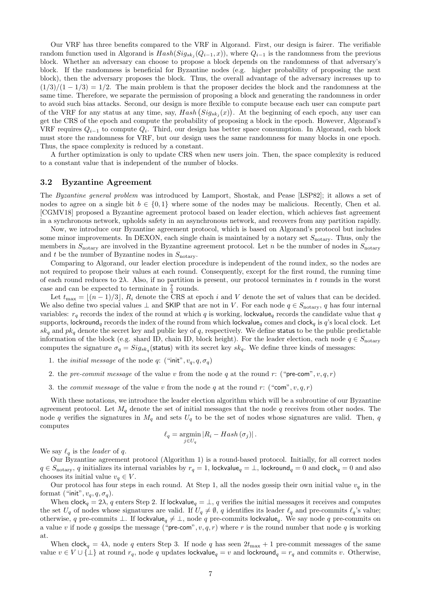Our VRF has three benefits compared to the VRF in Algorand. First, our design is fairer. The verifiable random function used in Algorand is  $Hash(Sig_{sk_j}(Q_{i-1}, x))$ , where  $Q_{i-1}$  is the randomness from the previous block. Whether an adversary can choose to propose a block depends on the randomness of that adversary's block. If the randomness is beneficial for Byzantine nodes (e.g. higher probability of proposing the next block), then the adversary proposes the block. Thus, the overall advantage of the adversary increases up to  $(1/3)/(1-1/3) = 1/2$ . The main problem is that the proposer decides the block and the randomness at the same time. Therefore, we separate the permission of proposing a block and generating the randomness in order to avoid such bias attacks. Second, our design is more flexible to compute because each user can compute part of the VRF for any status at any time, say,  $Hash(Sig_{sk_j}(x))$ . At the beginning of each epoch, any user can get the CRS of the epoch and compute the probability of proposing a block in the epoch. However, Algorand's VRF requires  $Q_{i-1}$  to compute  $Q_i$ . Third, our design has better space consumption. In Algorand, each block must store the randomness for VRF, but our design uses the same randomness for many blocks in one epoch. Thus, the space complexity is reduced by a constant.

A further optimization is only to update CRS when new users join. Then, the space complexity is reduced to a constant value that is independent of the number of blocks.

## <span id="page-6-0"></span>3.2 Byzantine Agreement

The Byzantine general problem was introduced by Lamport, Shostak, and Pease [\[LSP82\]](#page-19-9); it allows a set of nodes to agree on a single bit  $b \in \{0,1\}$  where some of the nodes may be malicious. Recently, Chen et al. [\[CGMV18\]](#page-19-10) proposed a Byzantine agreement protocol based on leader election, which achieves fast agreement in a synchronous network, upholds safety in an asynchronous network, and recovers from any partition rapidly.

Now, we introduce our Byzantine agreement protocol, which is based on Algorand's protocol but includes some minor improvements. In DEXON, each single chain is maintained by a notary set  $S_{\text{notary}}$ . Thus, only the members in  $S_{\text{notary}}$  are involved in the Byzantine agreement protocol. Let n be the number of nodes in  $S_{\text{notary}}$ and  $t$  be the number of Byzantine nodes in  $S_{\text{notary}}$ .

Comparing to Algorand, our leader election procedure is independent of the round index, so the nodes are not required to propose their values at each round. Consequently, except for the first round, the running time of each round reduces to  $2\lambda$ . Also, if no partition is present, our protocol terminates in t rounds in the worst case and can be expected to terminate in  $\frac{7}{4}$  rounds.

Let  $t_{\text{max}} = \lfloor (n-1)/3 \rfloor$ ,  $R_i$  denote the CRS at epoch i and V denote the set of values that can be decided. We also define two special values  $\perp$  and SKIP that are not in V. For each node  $q \in S_{\text{notary}}, q$  has four internal variables:  $r_q$  records the index of the round at which q is working, lockvalue<sub>q</sub> records the candidate value that q supports, lockround<sub>a</sub> records the index of the round from which lockvalue<sub>a</sub> comes and clock<sub>a</sub> is q's local clock. Let  $sk_q$  and  $pk_q$  denote the secret key and public key of q, respectively. We define status to be the public predictable information of the block (e.g. shard ID, chain ID, block height). For the leader election, each node  $q \in S_{\text{notary}}$ computes the signature  $\sigma_q = Sig_{sk_q}(\text{status})$  with its secret key  $sk_q$ . We define three kinds of messages:

- 1. the *initial message* of the node q: ("init",  $v_q$ ,  $q$ ,  $\sigma_q$ )
- 2. the pre-commit message of the value v from the node q at the round r: ("pre-com",  $v, q, r$ )
- 3. the *commit message* of the value v from the node q at the round r: ("com", v, q, r)

With these notations, we introduce the leader election algorithm which will be a subroutine of our Byzantine agreement protocol. Let  $M_q$  denote the set of initial messages that the node q receives from other nodes. The node q verifies the signatures in  $M_q$  and sets  $U_q$  to be the set of nodes whose signatures are valid. Then, q computes

$$
\ell_q = \operatorname*{argmin}_{j \in U_q} |R_i - Hash(\sigma_j)|.
$$

We say  $\ell_q$  is the *leader* of q.

Our Byzantine agreement protocol (Algorithm [1\)](#page-7-1) is a round-based protocol. Initially, for all correct nodes  $q \in S_{\text{notary}}, q$  initializes its internal variables by  $r_q = 1$ , lockvalue $q = \perp$ , lockround $q = 0$  and clock $q = 0$  and also chooses its initial value  $v_q \in V$ .

Our protocol has four steps in each round. At Step 1, all the nodes gossip their own initial value  $v_q$  in the format ("init",  $v_a, q, \sigma_a$ ).

When  $\mathsf{clock}_q = 2\lambda$ , q enters Step 2. If lockvalue $_q = \bot$ , q verifies the initial messages it receives and computes the set  $U_q$  of nodes whose signatures are valid. If  $U_q \neq \emptyset$ , q identifies its leader  $\ell_q$  and pre-commits  $\ell_q$ 's value; otherwise, q pre-commits ⊥. If lockvalue<sub>q</sub>  $\neq \bot$ , node q pre-commits lockvalue<sub>q</sub>. We say node q pre-commits on a value v if node q gossips the message ("pre-com",  $v, q, r$ ) where r is the round number that node q is working at.

When clock<sub>q</sub> = 4λ, node q enters Step 3. If node q has seen  $2t_{\text{max}} + 1$  pre-commit messages of the same value  $v \in V \cup \{\perp\}$  at round  $r_q$ , node q updates lockvalue<sub>q</sub> = v and lockround<sub>q</sub> =  $r_q$  and commits v. Otherwise,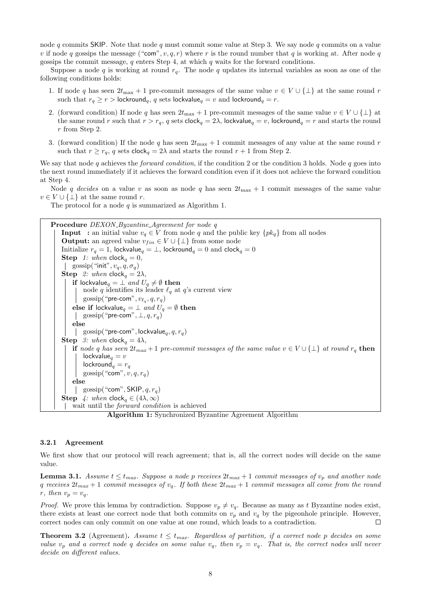node q commits SKIP. Note that node q must commit some value at Step 3. We say node q commits on a value v if node q gossips the message ("com", v, q, r) where r is the round number that q is working at. After node q gossips the commit message,  $q$  enters Step 4, at which  $q$  waits for the forward conditions.

Suppose a node q is working at round  $r_q$ . The node q updates its internal variables as soon as one of the following conditions holds:

- 1. If node q has seen  $2t_{\text{max}} + 1$  pre-commit messages of the same value  $v \in V \cup \{\perp\}$  at the same round r such that  $r_q \ge r >$  lockround<sub>q</sub>, q sets lockvalue<sub>q</sub> = v and lockround<sub>q</sub> = r.
- 2. (forward condition) If node q has seen  $2t_{\text{max}} + 1$  pre-commit messages of the same value  $v \in V \cup \{\perp\}$  at the same round r such that  $r > r_a$ , q sets clock<sub>q</sub> = 2 $\lambda$ , lockvalue<sub>q</sub> = v, lockround<sub>q</sub> = r and starts the round r from Step 2.
- 3. (forward condition) If the node q has seen  $2t_{\text{max}} + 1$  commit messages of any value at the same round r such that  $r \ge r_q$ , q sets clock<sub>q</sub> = 2 $\lambda$  and starts the round  $r + 1$  from Step 2.

We say that node  $q$  achieves the *forward condition*, if the condition 2 or the condition 3 holds. Node  $q$  goes into the next round immediately if it achieves the forward condition even if it does not achieve the forward condition at Step 4.

Node q decides on a value v as soon as node q has seen  $2t_{\text{max}} + 1$  commit messages of the same value  $v \in V \cup \{\perp\}$  at the same round r.

The protocol for a node  $q$  is summarized as Algorithm [1.](#page-7-1)

<span id="page-7-1"></span>Procedure DEXON\_Byzantine\_Agreement for node q **Input** : an initial value  $v_q \in V$  from node q and the public key  $\{pk_q\}$  from all nodes **Output:** an agreed value  $v_{fin} \in V \cup \{\perp\}$  from some node Initialize  $r_q = 1$ , lockvalue $_q = \perp$ , lockround $_q = 0$  and clock $_q = 0$ **Step** 1: when  $\text{clock}_q = 0$ , | gossip("init",  $v_q$ ,  $q$ ,  $\sigma_q$ ) **Step** 2: when  $\mathsf{clock}_q = 2\lambda$ , if lockvalue $_q = \perp$  and  $U_q \neq \emptyset$  then node q identifies its leader  $\ell_q$  at q's current view  $\text{gossip}(\text{``pre-com''}, v_{\ell_q}, q, r_q)$ else if lockvalue<sub>q</sub> =  $\perp$  and  $U_q = \emptyset$  then | gossip("pre-com",  $\perp$ ,  $q$ ,  $r_q$ ) else | gossip("pre-com", lockvalue $_q$ ,  $q$ ,  $r_q$ ) **Step** 3: when  $\text{clock}_q = 4\lambda$ , if node q has seen  $2t_{max} + 1$  pre-commit messages of the same value  $v \in V \cup \{\perp\}$  at round  $r_q$  then  $lockvalue<sub>q</sub> = v$  $\textsf{lockround}_q = r_q$ gossip("com",  $v, q, r_q$ ) else | gossip("com", SKIP,  $q, r_a$ ) **Step** 4: when  $\mathsf{clock}_q \in (4\lambda, \infty)$ wait until the forward condition is achieved Algorithm 1: Synchronized Byzantine Agreement Algorithm

#### <span id="page-7-0"></span>3.2.1 Agreement

We first show that our protocol will reach agreement; that is, all the correct nodes will decide on the same value.

<span id="page-7-2"></span>**Lemma 3.1.** Assume  $t \leq t_{max}$ . Suppose a node p receives  $2t_{max} + 1$  commit messages of  $v_p$  and another node q receives  $2t_{max} + 1$  commit messages of  $v_q$ . If both these  $2t_{max} + 1$  commit messages all come from the round  $r, then v_p = v_q.$ 

*Proof.* We prove this lemma by contradiction. Suppose  $v_p \neq v_q$ . Because as many as t Byzantine nodes exist, there exists at least one correct node that both commits on  $v_p$  and  $v_q$  by the pigeonhole principle. However, correct nodes can only commit on one value at one round, which leads to a contradiction.  $\Box$ 

**Theorem 3.2** (Agreement). Assume  $t \leq t_{max}$ . Regardless of partition, if a correct node p decides on some value  $v_p$  and a correct node q decides on some value  $v_q$ , then  $v_p = v_q$ . That is, the correct nodes will never decide on different values.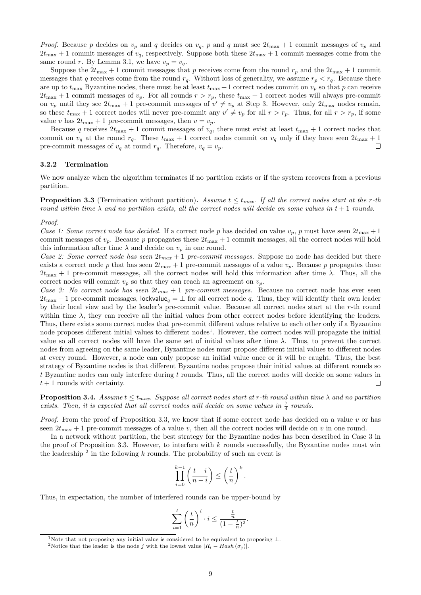*Proof.* Because p decides on  $v_p$  and q decides on  $v_q$ , p and q must see  $2t_{\text{max}} + 1$  commit messages of  $v_p$  and  $2t_{\text{max}} + 1$  commit messages of  $v_q$ , respectively. Suppose both these  $2t_{\text{max}} + 1$  commit messages come from the same round r. By Lemma [3.1,](#page-7-2) we have  $v_p = v_q$ .

Suppose the  $2t_{\text{max}} + 1$  commit messages that p receives come from the round  $r_p$  and the  $2t_{\text{max}} + 1$  commit messages that q receives come from the round  $r_q$ . Without loss of generality, we assume  $r_p < r_q$ . Because there are up to  $t_{\text{max}}$  Byzantine nodes, there must be at least  $t_{\text{max}} + 1$  correct nodes commit on  $v_p$  so that p can receive  $2t_{\text{max}} + 1$  commit messages of  $v_p$ . For all rounds  $r > r_p$ , these  $t_{\text{max}} + 1$  correct nodes will always pre-commit on  $v_p$  until they see  $2t_{\text{max}} + 1$  pre-commit messages of  $v' \neq v_p$  at Step 3. However, only  $2t_{\text{max}}$  nodes remain, so these  $t_{\text{max}} + 1$  correct nodes will never pre-commit any  $v' \neq v_p$  for all  $r > r_p$ . Thus, for all  $r > r_p$ , if some value v has  $2t_{\text{max}} + 1$  pre-commit messages, then  $v = v_p$ .

Because q receives  $2t_{\text{max}} + 1$  commit messages of  $v_q$ , there must exist at least  $t_{\text{max}} + 1$  correct nodes that commit on  $v_q$  at the round  $r_q$ . These  $t_{\text{max}} + 1$  correct nodes commit on  $v_q$  only if they have seen  $2t_{\text{max}} + 1$ pre-commit messages of  $v_q$  at round  $r_q$ . Therefore,  $v_q = v_p$ .  $\Box$ 

### <span id="page-8-0"></span>3.2.2 Termination

We now analyze when the algorithm terminates if no partition exists or if the system recovers from a previous partition.

<span id="page-8-2"></span>**Proposition 3.3** (Termination without partition). Assume  $t \leq t_{max}$ . If all the correct nodes start at the r-th round within time  $\lambda$  and no partition exists, all the correct nodes will decide on some values in  $t + 1$  rounds.

#### Proof.

Case 1: Some correct node has decided. If a correct node p has decided on value  $v_p$ , p must have seen  $2t_{\text{max}} + 1$ commit messages of  $v_p$ . Because p propagates these  $2t_{\text{max}} + 1$  commit messages, all the correct nodes will hold this information after time  $\lambda$  and decide on  $v_p$  in one round.

Case 2: Some correct node has seen  $2t_{max} + 1$  pre-commit messages. Suppose no node has decided but there exists a correct node p that has seen  $2t_{\text{max}} + 1$  pre-commit messages of a value  $v_p$ . Because p propagates these  $2t_{\text{max}} + 1$  pre-commit messages, all the correct nodes will hold this information after time  $\lambda$ . Thus, all the correct nodes will commit  $v_p$  so that they can reach an agreement on  $v_p$ .

Case 3: No correct node has seen  $2t_{max} + 1$  pre-commit messages. Because no correct node has ever seen  $2t_{\text{max}} + 1$  pre-commit messages, lockvalue<sub>g</sub> =  $\perp$  for all correct node q. Thus, they will identify their own leader by their local view and by the leader's pre-commit value. Because all correct nodes start at the r-th round within time  $\lambda$ , they can receive all the initial values from other correct nodes before identifying the leaders. Thus, there exists some correct nodes that pre-commit different values relative to each other only if a Byzantine node proposes different initial values to different nodes<sup>[1](#page-8-1)</sup>. However, the correct nodes will propagate the initial value so all correct nodes will have the same set of initial values after time  $\lambda$ . Thus, to prevent the correct nodes from agreeing on the same leader, Byzantine nodes must propose different initial values to different nodes at every round. However, a node can only propose an initial value once or it will be caught. Thus, the best strategy of Byzantine nodes is that different Byzantine nodes propose their initial values at different rounds so t Byzantine nodes can only interfere during t rounds. Thus, all the correct nodes will decide on some values in  $t+1$  rounds with certainty.  $\Box$ 

**Proposition 3.4.** Assume  $t \leq t_{max}$ . Suppose all correct nodes start at r-th round within time  $\lambda$  and no partition exists. Then, it is expected that all correct nodes will decide on some values in  $\frac{7}{4}$  rounds.

*Proof.* From the proof of Proposition [3.3,](#page-8-2) we know that if some correct node has decided on a value v or has seen  $2t_{\text{max}} + 1$  pre-commit messages of a value v, then all the correct nodes will decide on v in one round.

In a network without partition, the best strategy for the Byzantine nodes has been described in Case 3 in the proof of Proposition [3.3.](#page-8-2) However, to interfere with  $k$  rounds successfully, the Byzantine nodes must win the leadership  $^2$  $^2$  in the following k rounds. The probability of such an event is

$$
\prod_{i=0}^{k-1} \left( \frac{t-i}{n-i} \right) \le \left( \frac{t}{n} \right)^k.
$$

Thus, in expectation, the number of interfered rounds can be upper-bound by

$$
\sum_{i=1}^t \left(\frac{t}{n}\right)^i \cdot i \le \frac{\frac{t}{n}}{(1-\frac{t}{n})^2}.
$$

<span id="page-8-1"></span><sup>&</sup>lt;sup>1</sup>Note that not proposing any initial value is considered to be equivalent to proposing  $\perp$ .

<span id="page-8-3"></span><sup>&</sup>lt;sup>2</sup>Notice that the leader is the node j with the lowest value  $|R_i - Hash(\sigma_j)|$ .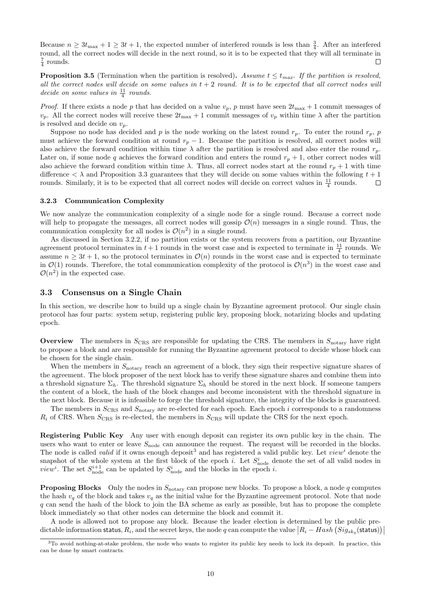Because  $n \geq 3t_{\text{max}} + 1 \geq 3t + 1$ , the expected number of interfered rounds is less than  $\frac{3}{4}$ . After an interfered round, all the correct nodes will decide in the next round, so it is to be expected that they will all terminate in  $rac{7}{4}$  rounds.  $\Box$ 

**Proposition 3.5** (Termination when the partition is resolved). Assume  $t \leq t_{max}$ . If the partition is resolved, all the correct nodes will decide on some values in  $t + 2$  round. It is to be expected that all correct nodes will decide on some values in  $\frac{11}{4}$  rounds.

*Proof.* If there exists a node p that has decided on a value  $v_p$ , p must have seen  $2t_{\text{max}} + 1$  commit messages of  $v_p$ . All the correct nodes will receive these  $2t_{\text{max}} + 1$  commit messages of  $v_p$  within time  $\lambda$  after the partition is resolved and decide on  $v_p$ .

Suppose no node has decided and p is the node working on the latest round  $r_p$ . To enter the round  $r_p$ , p must achieve the forward condition at round  $r_p - 1$ . Because the partition is resolved, all correct nodes will also achieve the forward condition within time  $\lambda$  after the partition is resolved and also enter the round  $r_p$ . Later on, if some node q achieves the forward condition and enters the round  $r_p + 1$ , other correct nodes will also achieve the forward condition within time  $\lambda$ . Thus, all correct nodes start at the round  $r_p + 1$  with time difference  $\langle \lambda \rangle$  and Proposition [3.3](#page-8-2) guarantees that they will decide on some values within the following  $t + 1$ rounds. Similarly, it is to be expected that all correct nodes will decide on correct values in  $\frac{11}{4}$  rounds.  $\Box$ 

#### <span id="page-9-0"></span>3.2.3 Communication Complexity

We now analyze the communication complexity of a single node for a single round. Because a correct node will help to propagate the messages, all correct nodes will gossip  $\mathcal{O}(n)$  messages in a single round. Thus, the communication complexity for all nodes is  $\mathcal{O}(n^2)$  in a single round.

As discussed in Section [3.2.2,](#page-8-0) if no partition exists or the system recovers from a partition, our Byzantine agreement protocol terminates in  $t + 1$  rounds in the worst case and is expected to terminate in  $\frac{11}{4}$  rounds. We assume  $n \geq 3t + 1$ , so the protocol terminates in  $\mathcal{O}(n)$  rounds in the worst case and is expected to terminate in  $\mathcal{O}(1)$  rounds. Therefore, the total communication complexity of the protocol is  $\mathcal{O}(n^3)$  in the worst case and  $\mathcal{O}(n^2)$  in the expected case.

## <span id="page-9-1"></span>3.3 Consensus on a Single Chain

In this section, we describe how to build up a single chain by Byzantine agreement protocol. Our single chain protocol has four parts: system setup, registering public key, proposing block, notarizing blocks and updating epoch.

**Overview** The members in  $S_{CRS}$  are responsible for updating the CRS. The members in  $S_{\text{notary}}$  have right to propose a block and are responsible for running the Byzantine agreement protocol to decide whose block can be chosen for the single chain.

When the members in  $S_{\text{notary}}$  reach an agreement of a block, they sign their respective signature shares of the agreement. The block proposer of the next block has to verify these signature shares and combine them into a threshold signature  $\Sigma_h$ . The threshold signature  $\Sigma_h$  should be stored in the next block. If someone tampers the content of a block, the hash of the block changes and become inconsistent with the threshold signature in the next block. Because it is infeasible to forge the threshold signature, the integrity of the blocks is guaranteed.

The members in  $S_{CRS}$  and  $S_{\text{notary}}$  are re-elected for each epoch. Each epoch i corresponds to a randomness  $R_i$  of CRS. When  $S_{CRS}$  is re-elected, the members in  $S_{CRS}$  will update the CRS for the next epoch.

Registering Public Key Any user with enough deposit can register its own public key in the chain. The users who want to enter or leave  $S_{\text{node}}$  can announce the request. The request will be recorded in the blocks. The node is called *valid* if it owns enough deposit<sup>[3](#page-9-2)</sup> and has registered a valid public key. Let  $view<sup>i</sup>$  denote the snapshot of the whole system at the first block of the epoch i. Let  $S_{\text{node}}^i$  denote the set of all valid nodes in *view*<sup>*i*</sup>. The set  $S_{\text{node}}^{i+1}$  can be updated by  $S_{\text{node}}^i$  and the blocks in the epoch *i*.

**Proposing Blocks** Only the nodes in  $S<sub>notary</sub>$  can propose new blocks. To propose a block, a node q computes the hash  $v_q$  of the block and takes  $v_q$  as the initial value for the Byzantine agreement protocol. Note that node q can send the hash of the block to join the BA scheme as early as possible, but has to propose the complete block immediately so that other nodes can determine the block and commit it.

A node is allowed not to propose any block. Because the leader election is determined by the public predictable information status,  $R_i$ , and the secret keys, the node  $q$  can compute the value  $|R_i - Hash(Sig_{sk_q}(\textsf{status}))|$ 

<span id="page-9-2"></span> $3$ To avoid nothing-at-stake problem, the node who wants to register its public key needs to lock its deposit. In practice, this can be done by smart contracts.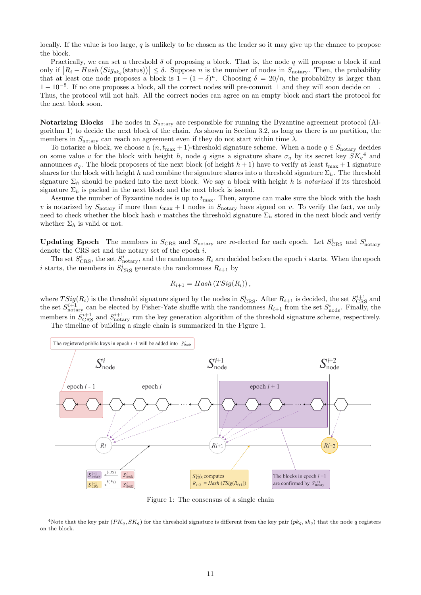locally. If the value is too large,  $q$  is unlikely to be chosen as the leader so it may give up the chance to propose the block.

Practically, we can set a threshold  $\delta$  of proposing a block. That is, the node q will propose a block if and only if  $|R_i - Hash(Sig_{sk_q}(\text{status}))| \leq \delta$ . Suppose *n* is the number of nodes in  $S_{\text{notary}}$ . Then, the probability that at least one node proposes a block is  $1 - (1 - \delta)^n$ . Choosing  $\delta = 20/n$ , the probability is larger than 1 − 10−<sup>8</sup> . If no one proposes a block, all the correct nodes will pre-commit ⊥ and they will soon decide on ⊥. Thus, the protocol will not halt. All the correct nodes can agree on an empty block and start the protocol for the next block soon.

Notarizing Blocks The nodes in  $S<sub>notary</sub>$  are responsible for running the Byzantine agreement protocol (Algorithm [1\)](#page-7-1) to decide the next block of the chain. As shown in Section [3.2,](#page-6-0) as long as there is no partition, the members in  $S_{\text{notary}}$  can reach an agreement even if they do not start within time  $\lambda$ .

To notarize a block, we choose a  $(n, t_{\text{max}} + 1)$ -threshold signature scheme. When a node  $q \in S_{\text{notary}}$  decides on some value v for the block with height h, node q signs a signature share  $\sigma_q$  by its secret key  $SK_q^4$  $SK_q^4$  and announces  $\sigma_q$ . The block proposers of the next block (of height  $h+1$ ) have to verify at least  $t_{\text{max}}+1$  signature shares for the block with height h and combine the signature shares into a threshold signature  $\Sigma_h$ . The threshold signature  $\Sigma_h$  should be packed into the next block. We say a block with height h is notarized if its threshold signature  $\Sigma_h$  is packed in the next block and the next block is issued.

Assume the number of Byzantine nodes is up to  $t_{\text{max}}$ . Then, anyone can make sure the block with the hash v is notarized by  $S_{\text{notary}}$  if more than  $t_{\text{max}} + 1$  nodes in  $S_{\text{notary}}$  have signed on v. To verify the fact, we only need to check whether the block hash v matches the threshold signature  $\Sigma_h$  stored in the next block and verify whether  $\Sigma_h$  is valid or not.

**Updating Epoch** The members in  $S_{CRS}$  and  $S_{\text{notary}}$  are re-elected for each epoch. Let  $S_{CRS}^i$  and  $S_{\text{notary}}^i$ denote the CRS set and the notary set of the epoch i.

The set  $S_{\text{CRS}}^i$ , the set  $S_{\text{notary}}^i$ , and the randomness  $R_i$  are decided before the epoch *i* starts. When the epoch *i* starts, the members in  $S_{CRS}^i$  generate the randomness  $R_{i+1}$  by

$$
R_{i+1} = Hash(TSig(R_i)),
$$

where  $TSig(R_i)$  is the threshold signature signed by the nodes in  $S_{CRS}^i$ . After  $R_{i+1}$  is decided, the set  $S_{CRS}^{i+1}$  and the set  $S_{\text{notary}}^{i+1}$  can be elected by Fisher-Yate shuffle with the randomness  $R_{i+1}$  from the set  $S_{\text{node}}^i$ . Finally, the members in  $S_{\text{CRS}}^{i+1}$  and  $S_{\text{notary}}^{i+1}$  run the key generation algorithm of the threshold signature scheme, respectively. The timeline of building a single chain is summarized in the Figure [1.](#page-10-1)

<span id="page-10-1"></span>

Figure 1: The consensus of a single chain

<span id="page-10-0"></span><sup>&</sup>lt;sup>4</sup>Note that the key pair  $(PK_q, SK_q)$  for the threshold signature is different from the key pair  $(pk_q, sk_q)$  that the node q registers on the block.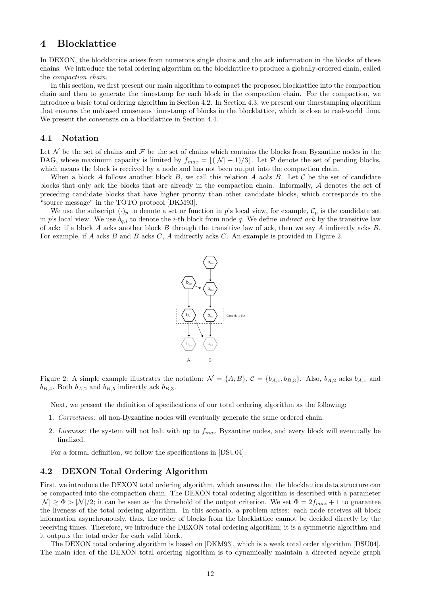## <span id="page-11-0"></span>4 Blocklattice

In DEXON, the blocklattice arises from numerous single chains and the ack information in the blocks of those chains. We introduce the total ordering algorithm on the blocklattice to produce a globally-ordered chain, called the compaction chain.

In this section, we first present our main algorithm to compact the proposed blocklattice into the compaction chain and then to generate the timestamp for each block in the compaction chain. For the compaction, we introduce a basic total ordering algorithm in Section [4.2.](#page-11-2) In Section [4.3,](#page-16-0) we present our timestamping algorithm that ensures the unbiased consensus timestamp of blocks in the blocklattice, which is close to real-world time. We present the consensus on a blocklattice in Section [4.4.](#page-16-1)

## <span id="page-11-1"></span>4.1 Notation

Let  $\mathcal N$  be the set of chains and  $\mathcal F$  be the set of chains which contains the blocks from Byzantine nodes in the DAG, whose maximum capacity is limited by  $f_{max} = \lfloor (|\mathcal{N}| - 1)/3 \rfloor$ . Let P denote the set of pending blocks, which means the block is received by a node and has not been output into the compaction chain.

When a block A follows another block B, we call this relation A acks B. Let C be the set of candidate blocks that only ack the blocks that are already in the compaction chain. Informally, A denotes the set of preceding candidate blocks that have higher priority than other candidate blocks, which corresponds to the "source message" in the TOTO protocol [\[DKM93\]](#page-19-11).

<span id="page-11-3"></span>We use the subscript  $(\cdot)_p$  to denote a set or function in p's local view, for example,  $\mathcal{C}_p$  is the candidate set in p's local view. We use  $b_{q,i}$  to denote the *i*-th block from node q. We define *indirect ack* by the transitive law of ack: if a block A acks another block B through the transitive law of ack, then we say A indirectly acks B. For example, if A acks B and B acks C, A indirectly acks C. An example is provided in Figure [2.](#page-11-3)



Figure 2: A simple example illustrates the notation:  $\mathcal{N} = \{A, B\}$ ,  $\mathcal{C} = \{b_{A,1}, b_{B,3}\}$ . Also,  $b_{A,2}$  acks  $b_{A,1}$  and  $b_{B,4}$ . Both  $b_{A,2}$  and  $b_{B,5}$  indirectly ack  $b_{B,3}$ .

Next, we present the definition of specifications of our total ordering algorithm as the following:

- 1. Correctness: all non-Byzantine nodes will eventually generate the same ordered chain.
- 2. Liveness: the system will not halt with up to  $f_{max}$  Byzantine nodes, and every block will eventually be finalized.

For a formal definition, we follow the specifications in [\[DSU04\]](#page-19-12).

## <span id="page-11-2"></span>4.2 DEXON Total Ordering Algorithm

First, we introduce the DEXON total ordering algorithm, which ensures that the blocklattice data structure can be compacted into the compaction chain. The DEXON total ordering algorithm is described with a parameter  $|\mathcal{N}| \geq \Phi > |\mathcal{N}|/2$ ; it can be seen as the threshold of the output criterion. We set  $\Phi = 2f_{max} + 1$  to guarantee the liveness of the total ordering algorithm. In this scenario, a problem arises: each node receives all block information asynchronously, thus, the order of blocks from the blocklattice cannot be decided directly by the receiving times. Therefore, we introduce the DEXON total ordering algorithm; it is a symmetric algorithm and it outputs the total order for each valid block.

The DEXON total ordering algorithm is based on [\[DKM93\]](#page-19-11), which is a weak total order algorithm [\[DSU04\]](#page-19-12). The main idea of the DEXON total ordering algorithm is to dynamically maintain a directed acyclic graph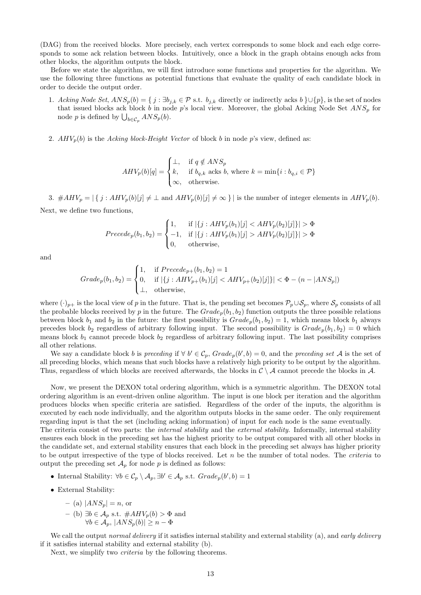(DAG) from the received blocks. More precisely, each vertex corresponds to some block and each edge corresponds to some ack relation between blocks. Intuitively, once a block in the graph obtains enough acks from other blocks, the algorithm outputs the block.

Before we state the algorithm, we will first introduce some functions and properties for the algorithm. We use the following three functions as potential functions that evaluate the quality of each candidate block in order to decide the output order.

- 1. Acking Node Set,  $ANS_p(b) = \{ j : \exists b_{j,k} \in \mathcal{P} \text{ s.t. } b_{j,k} \text{ directly or indirectly asks } b \} \cup \{p\}$ , is the set of nodes that issued blocks ack block b in node p's local view. Moreover, the global Acking Node Set  $ANS_p$  for node p is defined by  $\bigcup_{b \in C_p} ANS_p(b)$ .
- 2.  $AHV_p(b)$  is the Acking block-Height Vector of block b in node p's view, defined as:

$$
AHV_p(b)[q] = \begin{cases} \bot, & \text{if } q \notin ANS_p \\ k, & \text{if } b_{q,k} \text{ acts } b, \text{ where } k = \min\{i : b_{q,i} \in \mathcal{P}\} \\ \infty, & \text{otherwise.} \end{cases}
$$

3.  $#AHV_p = |\{ j : AHV_p(b)[j] \neq \bot \text{ and } AHV_p(b)[j] \neq \infty \}|$  is the number of integer elements in  $AHV_p(b)$ . Next, we define two functions,

$$
Precede_p(b_1, b_2) = \begin{cases} 1, & \text{if } |\{j : AHV_p(b_1)[j] < AHV_p(b_2)[j]\}| > \Phi \\ -1, & \text{if } |\{j : AHV_p(b_1)[j] > AHV_p(b_2)[j]\}| > \Phi \\ 0, & \text{otherwise,} \end{cases}
$$

and

$$
Grade_p(b_1, b_2) = \begin{cases} 1, & \text{if } Precede_{p+}(b_1, b_2) = 1 \\ 0, & \text{if } |\{j : AHV_{p+}(b_1)[j] < AHV_{p+}(b_2)[j]\}| < \Phi - (n - |ANS_p|) \\ \perp, & \text{otherwise,} \end{cases}
$$

where  $(\cdot)_{p+}$  is the local view of p in the future. That is, the pending set becomes  $\mathcal{P}_p\cup\mathcal{S}_p$ , where  $\mathcal{S}_p$  consists of all the probable blocks received by p in the future. The  $Grade_p(b_1, b_2)$  function outputs the three possible relations between block  $b_1$  and  $b_2$  in the future: the first possibility is  $Grade_p(b_1, b_2) = 1$ , which means block  $b_1$  always precedes block  $b_2$  regardless of arbitrary following input. The second possibility is  $Grade_p(b_1, b_2) = 0$  which means block  $b_1$  cannot precede block  $b_2$  regardless of arbitrary following input. The last possibility comprises all other relations.

We say a candidate block b is preceding if  $\forall b' \in C_p$ ,  $Grade_p(b', b) = 0$ , and the preceding set A is the set of all preceding blocks, which means that such blocks have a relatively high priority to be output by the algorithm. Thus, regardless of which blocks are received afterwards, the blocks in  $\mathcal{C} \setminus \mathcal{A}$  cannot precede the blocks in  $\mathcal{A}$ .

Now, we present the DEXON total ordering algorithm, which is a symmetric algorithm. The DEXON total ordering algorithm is an event-driven online algorithm. The input is one block per iteration and the algorithm produces blocks when specific criteria are satisfied. Regardless of the order of the inputs, the algorithm is executed by each node individually, and the algorithm outputs blocks in the same order. The only requirement regarding input is that the set (including acking information) of input for each node is the same eventually. The criteria consist of two parts: the *internal stability* and the *external stability*. Informally, internal stability ensures each block in the preceding set has the highest priority to be output compared with all other blocks in the candidate set, and external stability ensures that each block in the preceding set always has higher priority to be output irrespective of the type of blocks received. Let  $n$  be the number of total nodes. The *criteria* to output the preceding set  $\mathcal{A}_p$  for node p is defined as follows:

- Internal Stability:  $\forall b \in C_p \setminus A_p, \exists b' \in A_p \text{ s.t. } Grade_p(b', b) = 1$
- External Stability:
	- (a)  $|ANS_n| = n$ , or  $-$  (b) ∃b ∈  $\mathcal{A}_p$  s.t.  $#AHV_p(b) > ∅$  and  $\forall b \in A_p, |ANS_p(b)| \geq n - \Phi$

We call the output *normal delivery* if it satisfies internal stability and external stability (a), and *early delivery* if it satisfies internal stability and external stability (b).

<span id="page-12-0"></span>Next, we simplify two criteria by the following theorems.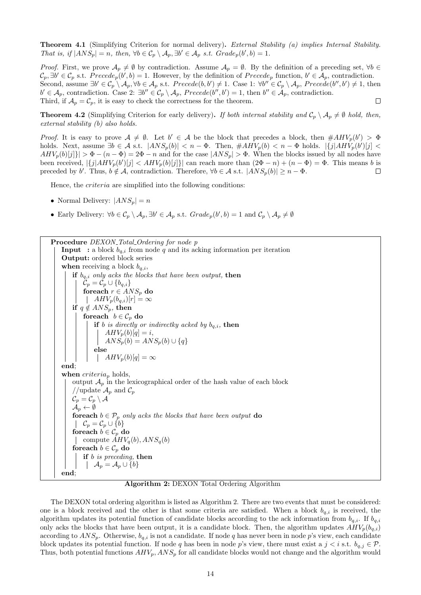Theorem 4.1 (Simplifying Criterion for normal delivery). External Stability (a) implies Internal Stability. That is, if  $|ANS_p| = n$ , then,  $\forall b \in C_p \setminus A_p$ ,  $\exists b' \in A_p$  s.t.  $Grade_p(b', b) = 1$ .

*Proof.* First, we prove  $\mathcal{A}_p \neq \emptyset$  by contradiction. Assume  $\mathcal{A}_p = \emptyset$ . By the definition of a preceding set,  $\forall b \in \mathcal{A}_p$  $\mathcal{C}_p, \exists b' \in \mathcal{C}_p \text{ s.t. } Precede_p(b', b) = 1.$  However, by the definition of  $Precede_p \text{ function}, b' \in \mathcal{A}_p$ , contradiction. Second, assume  $\exists b' \in C_p \setminus A_p, \forall b \in A_p \text{ s.t. } Precede(b, b') \neq 1$ . Case 1:  $\forall b'' \in C_p \setminus A_p$ ,  $Precede(b'', b') \neq 1$ , then  $b' \in \mathcal{A}_p$ , contradiction. Case 2:  $\exists b'' \in \mathcal{C}_p \setminus \mathcal{A}_p$ ,  $Precede(b'', b') = 1$ , then  $b'' \in \mathcal{A}_p$ , contradiction. Third, if  $\mathcal{A}_p = \mathcal{C}_p$ , it is easy to check the correctness for the theorem.  $\Box$ 

**Theorem 4.2** (Simplifying Criterion for early delivery). If both internal stability and  $C_p \setminus A_p \neq \emptyset$  hold, then, external stability (b) also holds.

*Proof.* It is easy to prove  $A \neq \emptyset$ . Let  $b' \in A$  be the block that precedes a block, then  $\#AHV_p(b') > \Phi$ holds. Next, assume  $\exists b \in A$  s.t.  $|ANS_p(b)| < n - \Phi$ . Then,  $\#AHV_p(b) < n - \Phi$  holds.  $|\{j|AHV_p(b')[j] <$  $AHV_p(b)[j]\}\geq \Phi-(n-\Phi)=2\Phi-n$  and for the case  $|ANS_p|\geq \Phi$ . When the blocks issued by all nodes have been received,  $|\{j|AHV_p(b)[j] \le AHV_p(b)[j]\}|$  can reach more than  $(2\Phi - n) + (n - \Phi) = \Phi$ . This means b is preceded by b'. Thus,  $b \notin \mathcal{A}$ , contradiction. Therefore,  $\forall b \in \mathcal{A}$  s.t.  $|ANS_p(b)| \geq n - \Phi$ .  $\Box$ 

Hence, the criteria are simplified into the following conditions:

- Normal Delivery:  $|ANS_n| = n$
- Early Delivery:  $\forall b \in C_p \setminus A_p, \exists b' \in A_p \text{ s.t. } Grade_p(b', b) = 1 \text{ and } C_p \setminus A_p \neq \emptyset$

<span id="page-13-0"></span>Procedure DEXON\_Total\_Ordering for node p **Input** : a block  $b_{q,i}$  from node q and its acking information per iteration Output: ordered block series when receiving a block  $b_{q,i}$ , if  $b_{q,i}$  only acks the blocks that have been output, then  $\mathcal{C}_p = \mathcal{C}_p \cup \{b_{q,i}\}\$ foreach  $r \in ANS_p$  do  $\left| \quad AHV_p(b_{q,i})[r] = \infty \right|$ if  $q \notin ANS_p$ , then foreach  $b \in \mathcal{C}_p$  do if b is directly or indirectly acked by  $b_{q,i}$ , then  $AHV_p(b)[q] = i,$  $ANS_p(b) = ANS_p(b) \cup \{q\}$ else  $\left| \quad AHV_p(b)[q] = \infty \right|$ end; when  $criterion_p$  holds, output  $\mathcal{A}_p$  in the lexicographical order of the hash value of each block //update  $\mathcal{A}_p$  and  $\mathcal{C}_p$  $\mathcal{C}_p = \mathcal{C}_p \setminus \mathcal{A}$  $\mathcal{A}_p \leftarrow \emptyset$ for each  $b \in \mathcal{P}_p$  only acks the blocks that have been output do  $\left\{\begin{array}{c} \mathcal{C}_p = \mathcal{C}_p \cup \{b\} \end{array}\right\}$ foreach  $b\in\mathcal{C}_p$  do compute  $AHV_q(b), ANS_q(b)$ foreach  $b \in \mathcal{C}_p$  do if b is preceding, then  $\mathcal{A}_p = \mathcal{A}_p \cup \{b\}$ end;

#### Algorithm 2: DEXON Total Ordering Algorithm

The DEXON total ordering algorithm is listed as Algorithm [2.](#page-13-0) There are two events that must be considered: one is a block received and the other is that some criteria are satisfied. When a block  $b_{q,i}$  is received, the algorithm updates its potential function of candidate blocks according to the ack information from  $b_{q,i}$ . If  $b_{q,i}$ only acks the blocks that have been output, it is a candidate block. Then, the algorithm updates  $AHV_p(b_{q,i})$ according to  $ANS_p$ . Otherwise,  $b_{q,i}$  is not a candidate. If node q has never been in node p's view, each candidate block updates its potential function. If node q has been in node p's view, there must exist a  $j < i$  s.t.  $b_{q,j} \in \mathcal{P}$ . Thus, both potential functions  $AHV_p$ ,  $ANS_p$  for all candidate blocks would not change and the algorithm would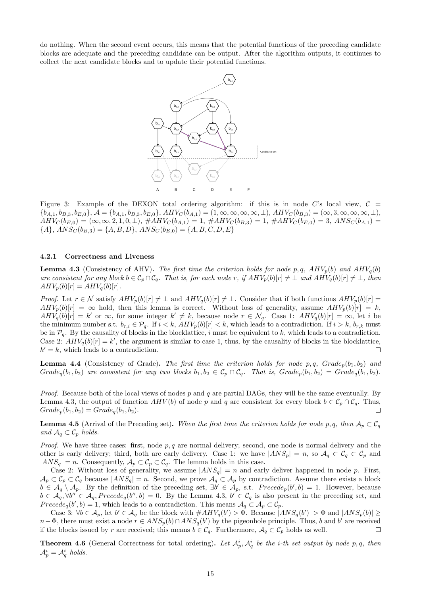do nothing. When the second event occurs, this means that the potential functions of the preceding candidate blocks are adequate and the preceding candidate can be output. After the algorithm outputs, it continues to collect the next candidate blocks and to update their potential functions.



Figure 3: Example of the DEXON total ordering algorithm: if this is in node C's local view,  $C =$  ${b_{A,1}, b_{B,3}, b_{E,0}}, \mathcal{A} = {b_{A,1}, b_{B,3}, b_{E,0}}, AHV_C(b_{A,1}) = (1, \infty, \infty, \infty, \infty, \perp), AHV_C(b_{B,3}) = (\infty, 3, \infty, \infty, \infty, \perp),$  $AHV_C(b_{E,0}) = (\infty, \infty, 2, 1, 0, \perp), \#AHV_C(b_{A,1}) = 1, \#AHV_C(b_{B,3}) = 1, \#AHV_C(b_{E,0}) = 3, \ ANS_C(b_{A,1}) = 1, \#AHV_C(b_{E,2}) = 3, \ AMS_C(b_{A,3}) = 1, \#AHV_C(b_{E,4}) = 1, \#AHV_C(b_{E,5}) = 1, \#AHV_C(b_{E,6}) = 1, \#AHV_C(b_{E,7}) = 1, \#AHV_C(b_{E,8}) = 1, \#AHV_C(b_{E,9}) = 1, \#AHV_C(b_{E,1})$  ${A}, ANS_C(b_{B,3}) = {A, B, D}, ANS_C(b_{E,0}) = {A, B, C, D, E}$ 

### <span id="page-14-0"></span>4.2.1 Correctness and Liveness

<span id="page-14-1"></span>**Lemma 4.3** (Consistency of AHV). The first time the criterion holds for node p, q,  $AHV_p(b)$  and  $AHV_q(b)$ are consistent for any block  $b \in C_p \cap C_q$ . That is, for each node r, if  $AHV_p(b)[r] \neq \bot$  and  $AHV_q(b)[r] \neq \bot$ , then  $AHV_p(b)[r] = AHV_q(b)[r].$ 

*Proof.* Let  $r \in \mathcal{N}$  satisfy  $AHV_p(b)[r] \neq \perp$  and  $AHV_q(b)[r] \neq \perp$ . Consider that if both functions  $AHV_p(b)[r] =$  $AHV_p(b)[r] = \infty$  hold, then this lemma is correct. Without loss of generality, assume  $AHV_p(b)[r] = k$ ,  $AHV_q(b)[r] = k'$  or  $\infty$ , for some integer  $k' \neq k$ , because node  $r \in \mathcal{N}_q$ . Case 1:  $AHV_q(b)[r] = \infty$ , let i be the minimum number s.t.  $b_{r,i} \in \mathcal{P}_q$ . If  $i < k$ ,  $\overrightarrow{AHV_p(b)}[r] < k$ , which leads to a contradiction. If  $i > k$ ,  $b_{r,k}$  must be in  $\mathcal{P}_q$ . By the causality of blocks in the blocklattice, i must be equivalent to k, which leads to a contradiction. Case 2:  $AHV_q(b)[r] = k'$ , the argument is similar to case 1, thus, by the causality of blocks in the blocklattice,  $k' = k$ , which leads to a contradiction.  $\Box$ 

<span id="page-14-3"></span>**Lemma 4.4** (Consistency of Grade). The first time the criterion holds for node p, q,  $Grade_p(b_1, b_2)$  and  $Grade_{q}(b_1, b_2)$  are consistent for any two blocks  $b_1, b_2 \in C_p \cap C_q$ . That is,  $Grade_{p}(b_1, b_2) = Grade_{q}(b_1, b_2)$ .

*Proof.* Because both of the local views of nodes  $p$  and  $q$  are partial DAGs, they will be the same eventually. By Lemma [4.3,](#page-14-1) the output of function  $AHV(b)$  of node p and q are consistent for every block  $b \in C_p \cap C_q$ . Thus,  $Grade_n(b_1, b_2) = Grade_n(b_1, b_2).$ П

<span id="page-14-2"></span>**Lemma 4.5** (Arrival of the Preceding set). When the first time the criterion holds for node p, q, then  $A_p \subset C_q$ and  $A_q \subset \mathcal{C}_p$  holds.

*Proof.* We have three cases: first, node  $p, q$  are normal delivery; second, one node is normal delivery and the other is early delivery; third, both are early delivery. Case 1: we have  $|ANS_p| = n$ , so  $\mathcal{A}_q \subset \mathcal{C}_q \subset \mathcal{C}_p$  and  $|ANS_q| = n$ . Consequently,  $\mathcal{A}_p \subset \mathcal{C}_p \subset \mathcal{C}_q$ . The lemma holds in this case.

Case 2: Without loss of generality, we assume  $|ANS_q| = n$  and early deliver happened in node p. First,  $\mathcal{A}_p \subset \mathcal{C}_p \subset \mathcal{C}_q$  because  $|ANS_q| = n$ . Second, we prove  $\mathcal{A}_q \subset \mathcal{A}_p$  by contradiction. Assume there exists a block  $b \in \mathcal{A}_q \setminus \mathcal{A}_p$ . By the definition of the preceding set,  $\exists b' \in \mathcal{A}_p$ , s.t.  $Precede_p(b', b) = 1$ . However, because  $b \in \mathcal{A}_q, \forall b'' \in \mathcal{A}_q$ , Precede<sub>q</sub>(b'', b) = 0. By the Lemma [4.3,](#page-14-1)  $b' \in \mathcal{C}_q$  is also present in the preceding set, and Precede<sub>q</sub>(b', b) = 1, which leads to a contradiction. This means  $A_q \subset A_p \subset C_p$ .

Case 3:  $\forall b \in A_p$ , let  $b' \in A_q$  be the block with  $\#AHV_q(b') > \Phi$ . Because  $|ANS_q(b')| > \Phi$  and  $|ANS_p(b)| \ge$  $n-\Phi$ , there must exist a node  $r \in ANS_p(b) \cap ANS_q(b')$  by the pigeonhole principle. Thus, b and b' are received if the blocks issued by r are received; this means  $b \in C_q$ . Furthermore,  $\mathcal{A}_q \subset \mathcal{C}_p$  holds as well.  $\Box$ 

**Theorem 4.6** (General Correctness for total ordering). Let  $\mathcal{A}_p^i$ ,  $\mathcal{A}_q^i$  be the *i*-th set output by node p, q, then  $\mathcal{A}_p^i = \mathcal{A}_q^i$  holds.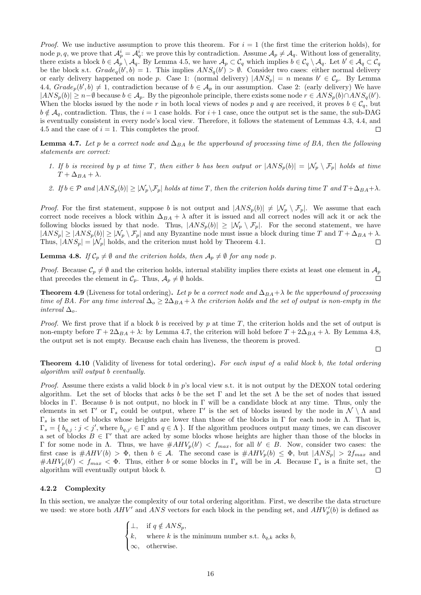*Proof.* We use inductive assumption to prove this theorem. For  $i = 1$  (the first time the criterion holds), for node p, q, we prove that  $\mathcal{A}_p^i = \mathcal{A}_q^i$ : we prove this by contradiction. Assume  $\mathcal{A}_p \neq \mathcal{A}_q$ . Without loss of generality, there exists a block  $b \in \mathcal{A}_p \setminus \mathcal{A}_q$ . By Lemma [4.5,](#page-14-2) we have  $\mathcal{A}_p \subset \mathcal{C}_q$  which implies  $b \in \mathcal{C}_q \setminus \mathcal{A}_q$ . Let  $b' \in \mathcal{A}_q \subset \mathcal{C}_q$ be the block s.t.  $Grade_q(b', b) = 1$ . This implies  $ANS_q(b') > \emptyset$ . Consider two cases: either normal delivery or early delivery happened on node p. Case 1: (normal delivery)  $|ANS_p| = n$  means  $b' \in C_p$ . By Lemma [4.4,](#page-14-3)  $Grade_p(b', b) \neq 1$ , contradiction because of  $b \in A_p$  in our assumption. Case 2: (early delivery) We have  $|ANS_p(b)| \geq n-\emptyset$  because  $b \in A_p$ . By the pigeonhole principle, there exists some node  $r \in ANS_p(b) \cap ANS_q(b')$ . When the blocks issued by the node r in both local views of nodes p and q are received, it proves  $b \in C_q$ , but  $b \notin A_{q}$ , contradiction. Thus, the  $i = 1$  case holds. For  $i + 1$  case, once the output set is the same, the sub-DAG is eventually consistent in every node's local view. Therefore, it follows the statement of Lemmas [4.3,](#page-14-1) [4.4,](#page-14-3) and [4.5](#page-14-2) and the case of  $i = 1$ . This completes the proof.  $\Box$ 

**Lemma 4.7.** Let p be a correct node and  $\Delta_{BA}$  be the upperbound of processing time of BA, then the following statements are correct:

- 1. If b is received by p at time T, then either b has been output or  $|ANS_p(b)| = |N_p \n\setminus \mathcal{F}_p|$  holds at time  $T + \Delta_{BA} + \lambda.$
- <span id="page-15-1"></span>2. If  $b \in \mathcal{P}$  and  $|ANS_p(b)| \geq |\mathcal{N}_p \backslash \mathcal{F}_p|$  holds at time T, then the criterion holds during time T and  $T + \Delta_{BA} + \lambda$ .

*Proof.* For the first statement, suppose b is not output and  $|ANS_p(b)| \neq |N_p \setminus \mathcal{F}_p|$ . We assume that each correct node receives a block within  $\Delta_{BA} + \lambda$  after it is issued and all correct nodes will ack it or ack the following blocks issued by that node. Thus,  $|ANS_p(b)| \geq |N_p \setminus \mathcal{F}_p|$ . For the second statement, we have  $|ANS_p| \ge |ANS_p(b)| \ge |\mathcal{N}_p \setminus \mathcal{F}_p|$  and any Byzantine node must issue a block during time T and  $T + \Delta_{BA} + \lambda$ . Thus,  $|ANS_p| = |\mathcal{N}_p|$  holds, and the criterion must hold by Theorem [4.1.](#page-12-0)  $\Box$ 

<span id="page-15-2"></span>**Lemma 4.8.** If  $\mathcal{C}_p \neq \emptyset$  and the criterion holds, then  $\mathcal{A}_p \neq \emptyset$  for any node p.

*Proof.* Because  $C_p \neq \emptyset$  and the criterion holds, internal stability implies there exists at least one element in  $A_p$ that precedes the element in  $\mathcal{C}_p$ . Thus,  $\mathcal{A}_p \neq \emptyset$  holds. П

**Theorem 4.9** (Liveness for total ordering). Let p be a correct node and  $\Delta_{BA} + \lambda$  be the upperbound of processing time of BA. For any time interval  $\Delta_o \geq 2\Delta_{BA} + \lambda$  the criterion holds and the set of output is non-empty in the interval  $\Delta_{\alpha}$ .

*Proof.* We first prove that if a block b is received by p at time T, the criterion holds and the set of output is non-empty before  $T + 2\Delta_{BA} + \lambda$ : by Lemma [4.7,](#page-15-1) the criterion will hold before  $T + 2\Delta_{BA} + \lambda$ . By Lemma [4.8,](#page-15-2) the output set is not empty. Because each chain has liveness, the theorem is proved.

Theorem 4.10 (Validity of liveness for total ordering). For each input of a valid block b, the total ordering algorithm will output b eventually.

 $\Box$ 

*Proof.* Assume there exists a valid block b in  $p$ 's local view s.t. it is not output by the DEXON total ordering algorithm. Let the set of blocks that acks b be the set  $\Gamma$  and let the set  $\Lambda$  be the set of nodes that issued blocks in Γ. Because b is not output, no block in Γ will be a candidate block at any time. Thus, only the elements in set  $\Gamma'$  or  $\Gamma_s$  could be output, where  $\Gamma'$  is the set of blocks issued by the node in  $\mathcal{N} \setminus \Lambda$  and  $Γ_s$  is the set of blocks whose heights are lower than those of the blocks in Γ for each node in Λ. That is,  $\Gamma_s = \{b_{q,j} : j < j', \text{where } b_{q,j'} \in \Gamma \text{ and } q \in \Lambda \}.$  If the algorithm produces output many times, we can discover a set of blocks  $B \in \Gamma'$  that are acked by some blocks whose heights are higher than those of the blocks in Γ for some node in Λ. Thus, we have  $#AHV_p(b') < f_{max}$ , for all  $b' ∈ B$ . Now, consider two cases: the first case is  $\#AHV(b) > \Phi$ , then  $b \in \mathcal{A}$ . The second case is  $\#AHV_p(b) \leq \Phi$ , but  $|ANS_p| > 2f_{max}$  and  $\#AHV_p(b') < f_{max} < \Phi$ . Thus, either b or some blocks in  $\Gamma_s$  will be in A. Because  $\Gamma_s$  is a finite set, the algorithm will eventually output block b.  $\Box$ 

#### <span id="page-15-0"></span>4.2.2 Complexity

In this section, we analyze the complexity of our total ordering algorithm. First, we describe the data structure we used: we store both  $AHV'$  and  $ANS$  vectors for each block in the pending set, and  $AHV_p'(b)$  is defined as

$$
\begin{cases} \bot, & \text{if } q \notin ANS_p, \\ k, & \text{where } k \text{ is the minimum number s.t. } b_{q,k} \text{ acts } b, \\ \infty, & \text{otherwise.} \end{cases}
$$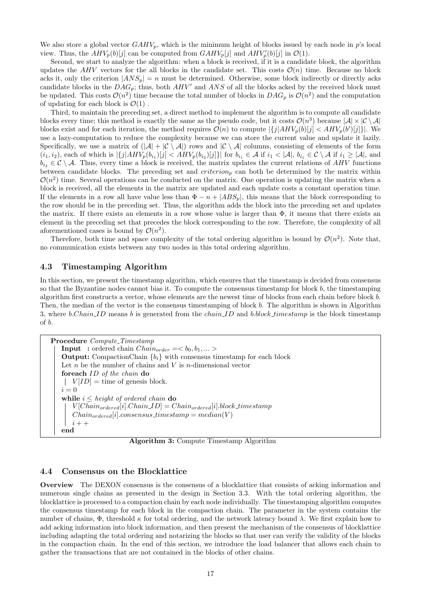We also store a global vector  $GAHV_p$ , which is the minimum height of blocks issued by each node in p's local view. Thus, the  $AHV_p(b)[j]$  can be computed from  $GAHV_p[j]$  and  $AHV'_p(b)[j]$  in  $\mathcal{O}(1)$ .

Second, we start to analyze the algorithm: when a block is received, if it is a candidate block, the algorithm updates the AHV vectors for the all blocks in the candidate set. This costs  $\mathcal{O}(n)$  time. Because no block acks it, only the criterion  $|ANS_p| = n$  must be determined. Otherwise, some block indirectly or directly acks candidate blocks in the  $DAG_p$ ; thus, both  $AHV'$  and  $ANS$  of all the blocks acked by the received block must be updated. This costs  $\mathcal{O}(n^2)$  time because the total number of blocks in  $DAG_p$  is  $\mathcal{O}(n^2)$  and the computation of updating for each block is  $\mathcal{O}(1)$ .

Third, to maintain the preceding set, a direct method to implement the algorithm is to compute all candidate blocks every time; this method is exactly the same as the pseudo code, but it costs  $\mathcal{O}(n^3)$  because  $|\mathcal{A}| \times |\mathcal{C} \setminus \mathcal{A}|$ blocks exist and for each iteration, the method requires  $\mathcal{O}(n)$  to compute  $\left|\{j|AHV_p(b)[j]\right|\leq AHV_p(b')[j]\}\right|$ . We use a lazy-computation to reduce the complexity because we can store the current value and update it lazily. Specifically, we use a matrix of  $(|A| + |\mathcal{C} \setminus A|)$  rows and  $|\mathcal{C} \setminus A|$  columns, consisting of elements of the form  $(i_1, i_2)$ , each of which is  $|\{j|AHV_p(b_{i_1})[j] < AHV_p(b_{i_2})[j]\}|$  for  $b_{i_1} \in \mathcal{A}$  if  $i_1 < |\mathcal{A}|$ ,  $b_{i_1} \in \mathcal{C} \setminus \mathcal{A}$  if  $i_1 \geq |\mathcal{A}|$ , and  $b_{i_2} \in \mathcal{C} \setminus \mathcal{A}$ . Thus, every time a block is received, the matrix updates the current relations of AHV functions between candidate blocks. The preceding set and  $criterion_p$  can both be determined by the matrix within  $\mathcal{O}(n^2)$  time. Several operations can be conducted on the matrix. One operation is updating the matrix when a block is received, all the elements in the matrix are updated and each update costs a constant operation time. If the elements in a row all have value less than  $\Phi - n + |ABS_p|$ , this means that the block corresponding to the row should be in the preceding set. Thus, the algorithm adds the block into the preceding set and updates the matrix. If there exists an elements in a row whose value is larger than  $\Phi$ , it means that there exists an element in the preceding set that precedes the block corresponding to the row. Therefore, the complexity of all aforementioned cases is bound by  $\mathcal{O}(n^2)$ .

Therefore, both time and space complexity of the total ordering algorithm is bound by  $\mathcal{O}(n^2)$ . Note that, no communication exists between any two nodes in this total ordering algorithm.

## <span id="page-16-0"></span>4.3 Timestamping Algorithm

In this section, we present the timestamp algorithm, which ensures that the timestamp is decided from consensus so that the Byzantine nodes cannot bias it. To compute the consensus timestamp for block  $b$ , the timestamping algorithm first constructs a vector, whose elements are the newest time of blocks from each chain before block b. Then, the median of the vector is the consensus timestamping of block b. The algorithm is shown in Algorithm [3,](#page-16-2) where b.Chain ID means b is generated from the chain ID and b.block timestamp is the block timestamp of b.

<span id="page-16-2"></span>Procedure Compute\_Timestamp **Input** : ordered chain  $Chain_{order} = \langle b_0, b_1, \dots \rangle$ **Output:** CompactionChain  ${b_i}$  with consensus timestamp for each block Let  $n$  be the number of chains and  $V$  is  $n$ -dimensional vector foreach ID of the chain do  $|V(ID] =$  time of genesis block.  $i = 0$ while  $i \leq height$  of ordered chain do  $V[Chain_{ordered}[i].Chain\_ID] = Chain_{ordered}[i].block\_timestamp$  $Chain_{ordered}[i].consensus\_timestamp = median(V)$  $i + +$ end

Algorithm 3: Compute Timestamp Algorithm

### <span id="page-16-1"></span>4.4 Consensus on the Blocklattice

Overview The DEXON consensus is the consensus of a blocklattice that consists of acking information and numerous single chains as presented in the design in Section [3.3.](#page-9-1) With the total ordering algorithm, the blocklattice is processed to a compaction chain by each node individually. The timestamping algorithm computes the consensus timestamp for each block in the compaction chain. The parameter in the system contains the number of chains,  $Φ$ , threshold κ for total ordering, and the network latency bound  $λ$ . We first explain how to add acking information into block information, and then present the mechanism of the consensus of blocklattice including adapting the total ordering and notarizing the blocks so that user can verify the validity of the blocks in the compaction chain. In the end of this section, we introduce the load balancer that allows each chain to gather the transactions that are not contained in the blocks of other chains.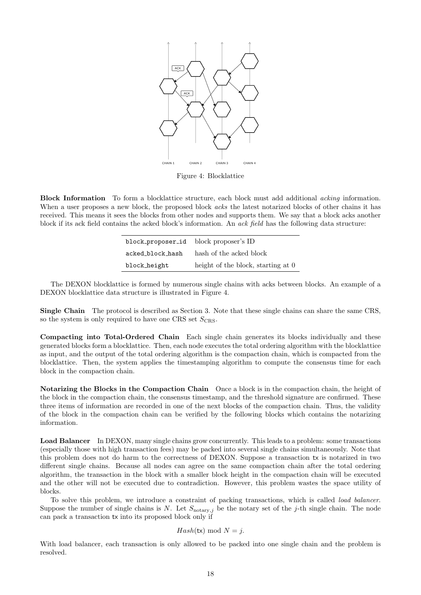<span id="page-17-0"></span>

Figure 4: Blocklattice

Block Information To form a blocklattice structure, each block must add additional acking information. When a user proposes a new block, the proposed block *acks* the latest notarized blocks of other chains it has received. This means it sees the blocks from other nodes and supports them. We say that a block acks another block if its ack field contains the acked block's information. An ack field has the following data structure:

| block_proposer_id | block proposer's ID                |  |  |
|-------------------|------------------------------------|--|--|
| acked_block_hash  | hash of the acked block            |  |  |
| block height      | height of the block, starting at 0 |  |  |

The DEXON blocklattice is formed by numerous single chains with acks between blocks. An example of a DEXON blocklattice data structure is illustrated in Figure [4.](#page-17-0)

Single Chain The protocol is described as Section [3.](#page-5-1) Note that these single chains can share the same CRS, so the system is only required to have one CRS set  $S_{CRS}$ .

Compacting into Total-Ordered Chain Each single chain generates its blocks individually and these generated blocks form a blocklattice. Then, each node executes the total ordering algorithm with the blocklattice as input, and the output of the total ordering algorithm is the compaction chain, which is compacted from the blocklattice. Then, the system applies the timestamping algorithm to compute the consensus time for each block in the compaction chain.

Notarizing the Blocks in the Compaction Chain Once a block is in the compaction chain, the height of the block in the compaction chain, the consensus timestamp, and the threshold signature are confirmed. These three items of information are recorded in one of the next blocks of the compaction chain. Thus, the validity of the block in the compaction chain can be verified by the following blocks which contains the notarizing information.

Load Balancer In DEXON, many single chains grow concurrently. This leads to a problem: some transactions (especially those with high transaction fees) may be packed into several single chains simultaneously. Note that this problem does not do harm to the correctness of DEXON. Suppose a transaction tx is notarized in two different single chains. Because all nodes can agree on the same compaction chain after the total ordering algorithm, the transaction in the block with a smaller block height in the compaction chain will be executed and the other will not be executed due to contradiction. However, this problem wastes the space utility of blocks.

To solve this problem, we introduce a constraint of packing transactions, which is called load balancer. Suppose the number of single chains is N. Let  $S_{\text{notary},j}$  be the notary set of the j-th single chain. The node can pack a transaction tx into its proposed block only if

### $Hash(tx) \mod N = j.$

With load balancer, each transaction is only allowed to be packed into one single chain and the problem is resolved.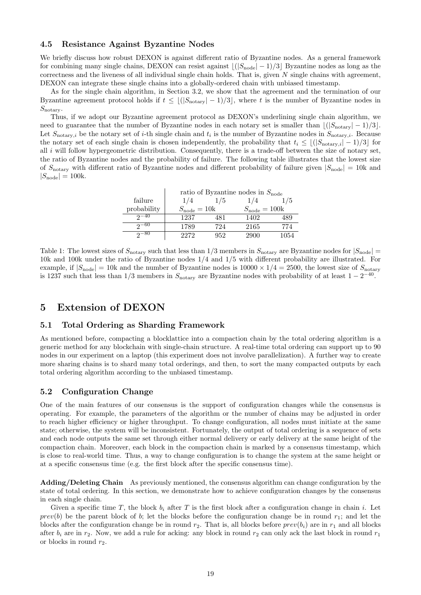## <span id="page-18-0"></span>4.5 Resistance Against Byzantine Nodes

We briefly discuss how robust DEXON is against different ratio of Byzantine nodes. As a general framework for combining many single chains, DEXON can resist against  $|(S_{\text{node}}|-1)/3|$  Byzantine nodes as long as the correctness and the liveness of all individual single chain holds. That is, given  $N$  single chains with agreement. DEXON can integrate these single chains into a globally-ordered chain with unbiased timestamp.

As for the single chain algorithm, in Section [3.2,](#page-6-0) we show that the agreement and the termination of our Byzantine agreement protocol holds if  $t \leq \lfloor (|S_{\text{notary}}| - 1)/3 \rfloor$ , where t is the number of Byzantine nodes in  $S_{\text{notary}}$ .

Thus, if we adopt our Byzantine agreement protocol as DEXON's underlining single chain algorithm, we need to guarantee that the number of Byzantine nodes in each notary set is smaller than  $\lfloor (|S_{\text{notary}}| - 1)/3 \rfloor$ . Let  $S_{\text{notary},i}$  be the notary set of *i*-th single chain and  $t_i$  is the number of Byzantine nodes in  $S_{\text{notary},i}$ . Because the notary set of each single chain is chosen independently, the probability that  $t_i \leq \lfloor (|S_{\text{notary},i}| - 1)/3 \rfloor$  for all  $i$  will follow hypergeometric distribution. Consequently, there is a trade-off between the size of notary set, the ratio of Byzantine nodes and the probability of failure. The following table illustrates that the lowest size of  $S_{\text{notary}}$  with different ratio of Byzantine nodes and different probability of failure given  $|S_{\text{node}}| = 10$ k and  $|S_{\text{node}}| = 100$ k.

|             | ratio of Byzantine nodes in $S_{\text{node}}$ |     |                          |      |  |  |
|-------------|-----------------------------------------------|-----|--------------------------|------|--|--|
| failure     | 1/4                                           | 1/5 | 1/4                      | 1/5  |  |  |
| probability | $S_{\text{node}} = 10k$                       |     | $S_{\text{node}} = 100k$ |      |  |  |
| $2 - 40$    | 1237                                          | 481 | 1402                     | 489  |  |  |
| $2^{-60}$   | 1789                                          | 724 | 2165                     | 774  |  |  |
| $2^{-80}$   | 2272                                          | 952 | 2900                     | 1054 |  |  |

Table 1: The lowest sizes of  $S_{\text{notary}}$  such that less than  $1/3$  members in  $S_{\text{notary}}$  are Byzantine nodes for  $|S_{\text{node}}|$ 10k and 100k under the ratio of Byzantine nodes 1/4 and 1/5 with different probability are illustrated. For example, if  $|S_{\text{node}}| = 10$ k and the number of Byzantine nodes is  $10000 \times 1/4 = 2500$ , the lowest size of  $S_{\text{notary}}$ is 1237 such that less than  $1/3$  members in  $S_{\text{notary}}$  are Byzantine nodes with probability of at least  $1 - 2^{-40}$ .

## <span id="page-18-1"></span>5 Extension of DEXON

## <span id="page-18-2"></span>5.1 Total Ordering as Sharding Framework

As mentioned before, compacting a blocklattice into a compaction chain by the total ordering algorithm is a generic method for any blockchain with single-chain structure. A real-time total ordering can support up to 90 nodes in our experiment on a laptop (this experiment does not involve parallelization). A further way to create more sharing chains is to shard many total orderings, and then, to sort the many compacted outputs by each total ordering algorithm according to the unbiased timestamp.

## <span id="page-18-3"></span>5.2 Configuration Change

One of the main features of our consensus is the support of configuration changes while the consensus is operating. For example, the parameters of the algorithm or the number of chains may be adjusted in order to reach higher efficiency or higher throughput. To change configuration, all nodes must initiate at the same state; otherwise, the system will be inconsistent. Fortunately, the output of total ordering is a sequence of sets and each node outputs the same set through either normal delivery or early delivery at the same height of the compaction chain. Moreover, each block in the compaction chain is marked by a consensus timestamp, which is close to real-world time. Thus, a way to change configuration is to change the system at the same height or at a specific consensus time (e.g. the first block after the specific consensus time).

Adding/Deleting Chain As previously mentioned, the consensus algorithm can change configuration by the state of total ordering. In this section, we demonstrate how to achieve configuration changes by the consensus in each single chain.

Given a specific time T, the block  $b_i$  after T is the first block after a configuration change in chain i. Let  $prev(b)$  be the parent block of b; let the blocks before the configuration change be in round  $r_1$ ; and let the blocks after the configuration change be in round  $r_2$ . That is, all blocks before  $prev(b_i)$  are in  $r_1$  and all blocks after  $b_i$  are in  $r_2$ . Now, we add a rule for acking: any block in round  $r_2$  can only ack the last block in round  $r_1$ or blocks in round  $r_2$ .